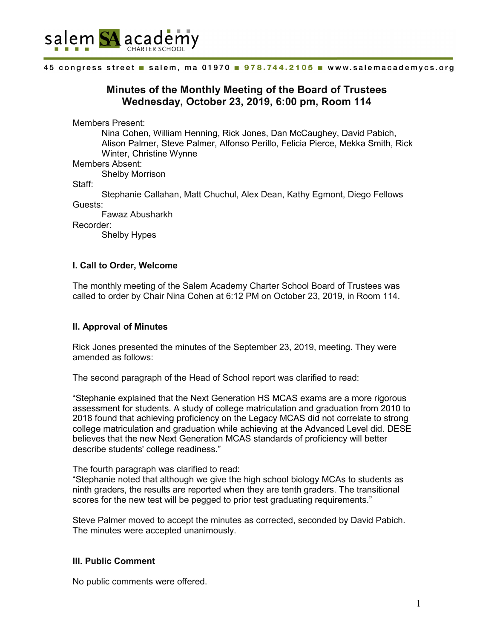

#### 45 congress street salem, ma 01970 . 978.744.2105 . www.salemacademycs.org

# **Minutes of the Monthly Meeting of the Board of Trustees Wednesday, October 23, 2019, 6:00 pm, Room 114**

Members Present:

Nina Cohen, William Henning, Rick Jones, Dan McCaughey, David Pabich, Alison Palmer, Steve Palmer, Alfonso Perillo, Felicia Pierce, Mekka Smith, Rick Winter, Christine Wynne

Members Absent:

Shelby Morrison

Staff:

Stephanie Callahan, Matt Chuchul, Alex Dean, Kathy Egmont, Diego Fellows Guests:

Fawaz Abusharkh

Recorder:

Shelby Hypes

# **I. Call to Order, Welcome**

The monthly meeting of the Salem Academy Charter School Board of Trustees was called to order by Chair Nina Cohen at 6:12 PM on October 23, 2019, in Room 114.

### **II. Approval of Minutes**

Rick Jones presented the minutes of the September 23, 2019, meeting. They were amended as follows:

The second paragraph of the Head of School report was clarified to read:

"Stephanie explained that the Next Generation HS MCAS exams are a more rigorous assessment for students. A study of college matriculation and graduation from 2010 to 2018 found that achieving proficiency on the Legacy MCAS did not correlate to strong college matriculation and graduation while achieving at the Advanced Level did. DESE believes that the new Next Generation MCAS standards of proficiency will better describe students' college readiness."

The fourth paragraph was clarified to read:

"Stephanie noted that although we give the high school biology MCAs to students as ninth graders, the results are reported when they are tenth graders. The transitional scores for the new test will be pegged to prior test graduating requirements."

Steve Palmer moved to accept the minutes as corrected, seconded by David Pabich. The minutes were accepted unanimously.

### **III. Public Comment**

No public comments were offered.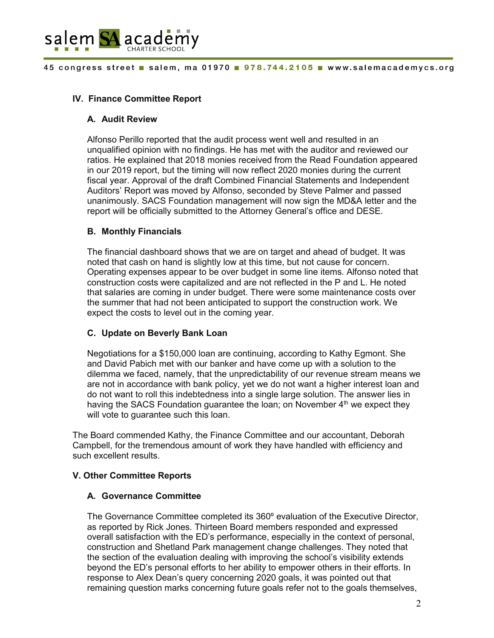

# **IV. Finance Committee Report**

### **A. Audit Review**

Alfonso Perillo reported that the audit process went well and resulted in an unqualified opinion with no findings. He has met with the auditor and reviewed our ratios. He explained that 2018 monies received from the Read Foundation appeared in our 2019 report, but the timing will now reflect 2020 monies during the current fiscal year. Approval of the draft Combined Financial Statements and Independent Auditors' Report was moved by Alfonso, seconded by Steve Palmer and passed unanimously. SACS Foundation management will now sign the MD&A letter and the report will be officially submitted to the Attorney General's office and DESE.

# **B. Monthly Financials**

The financial dashboard shows that we are on target and ahead of budget. It was noted that cash on hand is slightly low at this time, but not cause for concern. Operating expenses appear to be over budget in some line items. Alfonso noted that construction costs were capitalized and are not reflected in the P and L. He noted that salaries are coming in under budget. There were some maintenance costs over the summer that had not been anticipated to support the construction work. We expect the costs to level out in the coming year.

### **C. Update on Beverly Bank Loan**

Negotiations for a \$150,000 loan are continuing, according to Kathy Egmont. She and David Pabich met with our banker and have come up with a solution to the dilemma we faced, namely, that the unpredictability of our revenue stream means we are not in accordance with bank policy, yet we do not want a higher interest loan and do not want to roll this indebtedness into a single large solution. The answer lies in having the SACS Foundation guarantee the loan; on November  $4<sup>th</sup>$  we expect they will vote to guarantee such this loan.

The Board commended Kathy, the Finance Committee and our accountant, Deborah Campbell, for the tremendous amount of work they have handled with efficiency and such excellent results.

### **V. Other Committee Reports**

### **A. Governance Committee**

The Governance Committee completed its 360º evaluation of the Executive Director, as reported by Rick Jones. Thirteen Board members responded and expressed overall satisfaction with the ED's performance, especially in the context of personal, construction and Shetland Park management change challenges. They noted that the section of the evaluation dealing with improving the school's visibility extends beyond the ED's personal efforts to her ability to empower others in their efforts. In response to Alex Dean's query concerning 2020 goals, it was pointed out that remaining question marks concerning future goals refer not to the goals themselves,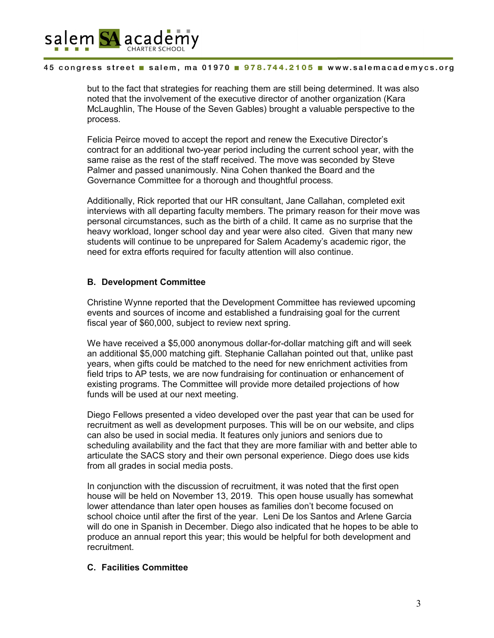

#### 45 congress street salem, ma 01970 978.744.2105 www.salemacademycs.org

but to the fact that strategies for reaching them are still being determined. It was also noted that the involvement of the executive director of another organization (Kara McLaughlin, The House of the Seven Gables) brought a valuable perspective to the process.

Felicia Peirce moved to accept the report and renew the Executive Director's contract for an additional two-year period including the current school year, with the same raise as the rest of the staff received. The move was seconded by Steve Palmer and passed unanimously. Nina Cohen thanked the Board and the Governance Committee for a thorough and thoughtful process.

Additionally, Rick reported that our HR consultant, Jane Callahan, completed exit interviews with all departing faculty members. The primary reason for their move was personal circumstances, such as the birth of a child. It came as no surprise that the heavy workload, longer school day and year were also cited. Given that many new students will continue to be unprepared for Salem Academy's academic rigor, the need for extra efforts required for faculty attention will also continue.

# **B. Development Committee**

Christine Wynne reported that the Development Committee has reviewed upcoming events and sources of income and established a fundraising goal for the current fiscal year of \$60,000, subject to review next spring.

We have received a \$5,000 anonymous dollar-for-dollar matching gift and will seek an additional \$5,000 matching gift. Stephanie Callahan pointed out that, unlike past years, when gifts could be matched to the need for new enrichment activities from field trips to AP tests, we are now fundraising for continuation or enhancement of existing programs. The Committee will provide more detailed projections of how funds will be used at our next meeting.

Diego Fellows presented a video developed over the past year that can be used for recruitment as well as development purposes. This will be on our website, and clips can also be used in social media. It features only juniors and seniors due to scheduling availability and the fact that they are more familiar with and better able to articulate the SACS story and their own personal experience. Diego does use kids from all grades in social media posts.

In conjunction with the discussion of recruitment, it was noted that the first open house will be held on November 13, 2019. This open house usually has somewhat lower attendance than later open houses as families don't become focused on school choice until after the first of the year. Leni De los Santos and Arlene Garcia will do one in Spanish in December. Diego also indicated that he hopes to be able to produce an annual report this year; this would be helpful for both development and recruitment.

# **C. Facilities Committee**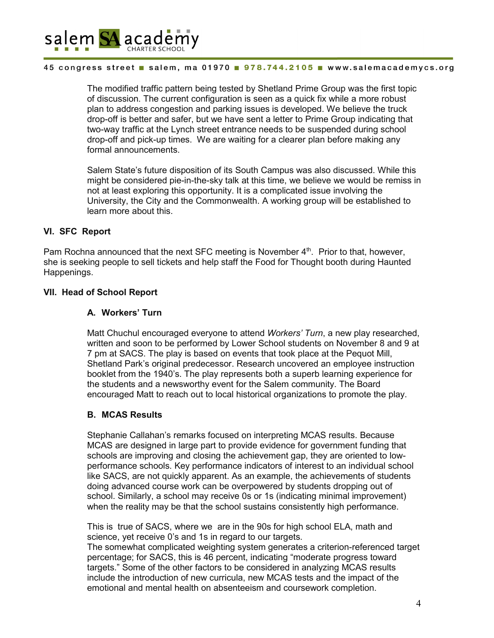

#### 45 congress street salem, ma 01970 978.744.2105 www.salemacademycs.org

The modified traffic pattern being tested by Shetland Prime Group was the first topic of discussion. The current configuration is seen as a quick fix while a more robust plan to address congestion and parking issues is developed. We believe the truck drop-off is better and safer, but we have sent a letter to Prime Group indicating that two-way traffic at the Lynch street entrance needs to be suspended during school drop-off and pick-up times. We are waiting for a clearer plan before making any formal announcements.

Salem State's future disposition of its South Campus was also discussed. While this might be considered pie-in-the-sky talk at this time, we believe we would be remiss in not at least exploring this opportunity. It is a complicated issue involving the University, the City and the Commonwealth. A working group will be established to learn more about this.

### **VI. SFC Report**

Pam Rochna announced that the next SFC meeting is November 4<sup>th</sup>. Prior to that, however, she is seeking people to sell tickets and help staff the Food for Thought booth during Haunted Happenings.

### **VII. Head of School Report**

### **A. Workers' Turn**

Matt Chuchul encouraged everyone to attend *Workers' Turn*, a new play researched, written and soon to be performed by Lower School students on November 8 and 9 at 7 pm at SACS. The play is based on events that took place at the Pequot Mill, Shetland Park's original predecessor. Research uncovered an employee instruction booklet from the 1940's. The play represents both a superb learning experience for the students and a newsworthy event for the Salem community. The Board encouraged Matt to reach out to local historical organizations to promote the play.

### **B. MCAS Results**

Stephanie Callahan's remarks focused on interpreting MCAS results. Because MCAS are designed in large part to provide evidence for government funding that schools are improving and closing the achievement gap, they are oriented to lowperformance schools. Key performance indicators of interest to an individual school like SACS, are not quickly apparent. As an example, the achievements of students doing advanced course work can be overpowered by students dropping out of school. Similarly, a school may receive 0s or 1s (indicating minimal improvement) when the reality may be that the school sustains consistently high performance.

This is true of SACS, where we are in the 90s for high school ELA, math and science, yet receive 0's and 1s in regard to our targets.

The somewhat complicated weighting system generates a criterion-referenced target percentage; for SACS, this is 46 percent, indicating "moderate progress toward targets." Some of the other factors to be considered in analyzing MCAS results include the introduction of new curricula, new MCAS tests and the impact of the emotional and mental health on absenteeism and coursework completion.